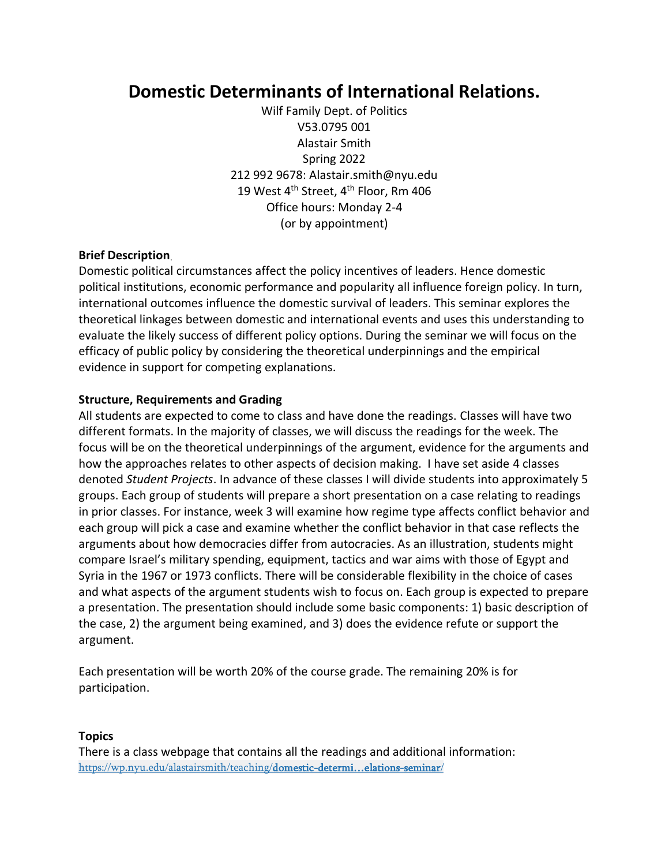## **Domestic Determinants of International Relations.**

Wilf Family Dept. of Politics V53.0795 001 Alastair Smith Spring 2022 212 992 9678: Alastair.smith@nyu.edu 19 West 4<sup>th</sup> Street, 4<sup>th</sup> Floor, Rm 406 Office hours: Monday 2-4 (or by appointment)

## **Brief Description**.

Domestic political circumstances affect the policy incentives of leaders. Hence domestic political institutions, economic performance and popularity all influence foreign policy. In turn, international outcomes influence the domestic survival of leaders. This seminar explores the theoretical linkages between domestic and international events and uses this understanding to evaluate the likely success of different policy options. During the seminar we will focus on the efficacy of public policy by considering the theoretical underpinnings and the empirical evidence in support for competing explanations.

## **Structure, Requirements and Grading**

All students are expected to come to class and have done the readings. Classes will have two different formats. In the majority of classes, we will discuss the readings for the week. The focus will be on the theoretical underpinnings of the argument, evidence for the arguments and how the approaches relates to other aspects of decision making. I have set aside 4 classes denoted *Student Projects*. In advance of these classes I will divide students into approximately 5 groups. Each group of students will prepare a short presentation on a case relating to readings in prior classes. For instance, week 3 will examine how regime type affects conflict behavior and each group will pick a case and examine whether the conflict behavior in that case reflects the arguments about how democracies differ from autocracies. As an illustration, students might compare Israel's military spending, equipment, tactics and war aims with those of Egypt and Syria in the 1967 or 1973 conflicts. There will be considerable flexibility in the choice of cases and what aspects of the argument students wish to focus on. Each group is expected to prepare a presentation. The presentation should include some basic components: 1) basic description of the case, 2) the argument being examined, and 3) does the evidence refute or support the argument.

Each presentation will be worth 20% of the course grade. The remaining 20% is for participation.

## **Topics**

There is a class webpage that contains all the readings and additional information: [https://wp.nyu.edu/alastairsmith/teaching/domestic-](https://wp.nyu.edu/alastairsmith/?page_id=932&preview=true)determi…elations-seminar/